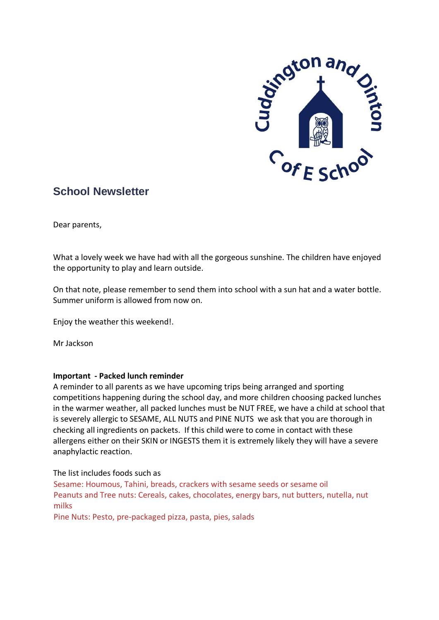

# **School Newsletter**

Dear parents,

What a lovely week we have had with all the gorgeous sunshine. The children have enjoyed the opportunity to play and learn outside.

On that note, please remember to send them into school with a sun hat and a water bottle. Summer uniform is allowed from now on.

Enjoy the weather this weekend!.

Mr Jackson

#### **Important - Packed lunch reminder**

A reminder to all parents as we have upcoming trips being arranged and sporting competitions happening during the school day, and more children choosing packed lunches in the warmer weather, all packed lunches must be NUT FREE, we have a child at school that is severely allergic to SESAME, ALL NUTS and PINE NUTS we ask that you are thorough in checking all ingredients on packets. If this child were to come in contact with these allergens either on their SKIN or INGESTS them it is extremely likely they will have a severe anaphylactic reaction.

The list includes foods such as

Sesame: Houmous, Tahini, breads, crackers with sesame seeds or sesame oil Peanuts and Tree nuts: Cereals, cakes, chocolates, energy bars, nut butters, nutella, nut milks

Pine Nuts: Pesto, pre-packaged pizza, pasta, pies, salads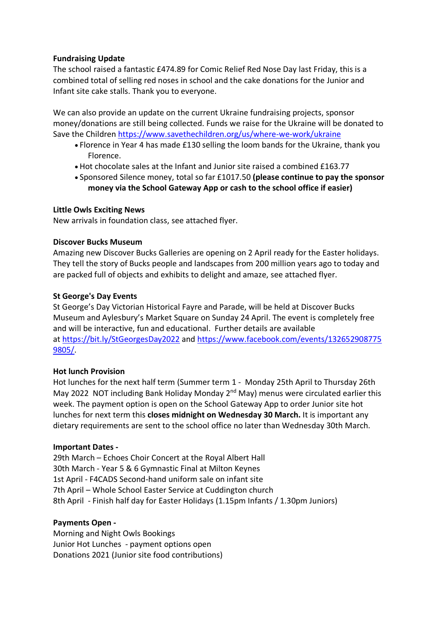## **Fundraising Update**

The school raised a fantastic £474.89 for Comic Relief Red Nose Day last Friday, this is a combined total of selling red noses in school and the cake donations for the Junior and Infant site cake stalls. Thank you to everyone.

We can also provide an update on the current Ukraine fundraising projects, sponsor money/donations are still being collected. Funds we raise for the Ukraine will be donated to Save the Children <https://www.savethechildren.org/us/where-we-work/ukraine>

- Florence in Year 4 has made £130 selling the loom bands for the Ukraine, thank you Florence.
- Hot chocolate sales at the Infant and Junior site raised a combined £163.77
- Sponsored Silence money, total so far £1017.50 **(please continue to pay the sponsor money via the School Gateway App or cash to the school office if easier)**

## **Little Owls Exciting News**

New arrivals in foundation class, see attached flyer.

## **Discover Bucks Museum**

Amazing new Discover Bucks Galleries are opening on 2 April ready for the Easter holidays. They tell the story of Bucks people and landscapes from 200 million years ago to today and are packed full of objects and exhibits to delight and amaze, see attached flyer.

## **St George's Day Events**

St George's Day Victorian Historical Fayre and Parade, will be held at Discover Bucks Museum and Aylesbury's Market Square on Sunday 24 April. The event is completely free and will be interactive, fun and educational. Further details are available at <https://bit.ly/StGeorgesDay2022> and [https://www.facebook.com/events/132652908775](https://www.facebook.com/events/1326529087759805/) [9805/.](https://www.facebook.com/events/1326529087759805/)

#### **Hot lunch Provision**

Hot lunches for the next half term (Summer term 1 - Monday 25th April to Thursday 26th May 2022 NOT including Bank Holiday Monday 2<sup>nd</sup> May) menus were circulated earlier this week. The payment option is open on the School Gateway App to order Junior site hot lunches for next term this **closes midnight on Wednesday 30 March.** It is important any dietary requirements are sent to the school office no later than Wednesday 30th March.

#### **Important Dates -**

29th March – Echoes Choir Concert at the Royal Albert Hall 30th March - Year 5 & 6 Gymnastic Final at Milton Keynes 1st April - F4CADS Second-hand uniform sale on infant site 7th April – Whole School Easter Service at Cuddington church 8th April - Finish half day for Easter Holidays (1.15pm Infants / 1.30pm Juniors)

## **Payments Open -**

Morning and Night Owls Bookings Junior Hot Lunches - payment options open Donations 2021 (Junior site food contributions)